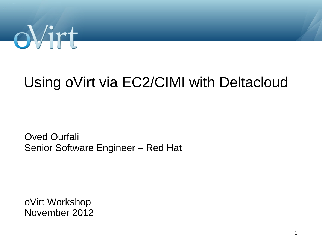

## Using oVirt via EC2/CIMI with Deltacloud

Oved Ourfali Senior Software Engineer – Red Hat

oVirt Workshop November 2012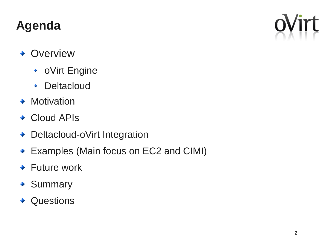#### **Agenda**

- Overview
	- oVirt Engine
	- **Deltacloud**  $\blacklozenge$
- $\rightarrow$  Motivation
- ◆ Cloud APIs
- ◆ Deltacloud-oVirt Integration
- ◆ Examples (Main focus on EC2 and CIMI)
- ◆ Future work
- ◆ Summary
- ◆ Questions

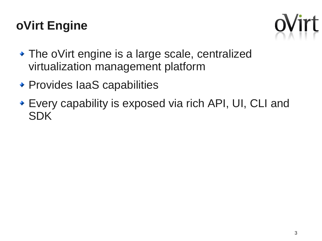#### **oVirt Engine**



- The oVirt engine is a large scale, centralized virtualization management platform
- Provides IaaS capabilities
- Every capability is exposed via rich API, UI, CLI and SDK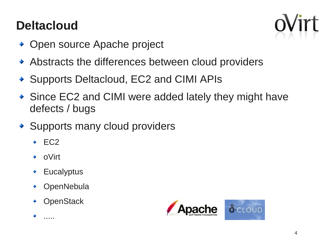#### **Deltacloud**



- Open source Apache project
- Abstracts the differences between cloud providers
- ◆ Supports Deltacloud, EC2 and CIMI APIs
- Since EC2 and CIMI were added lately they might have defects / bugs
- ◆ Supports many cloud providers
	- $\div$  EC2
	- oVirt ٠
	- **Eucalyptus**  $\bullet$
	- **OpenNebula** ٠
	- **OpenStack**



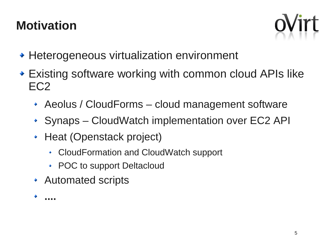#### **Motivation**



- Heterogeneous virtualization environment
- Existing software working with common cloud APIs like EC2
	- Aeolus / CloudForms cloud management software
	- ◆ Synaps CloudWatch implementation over EC2 API
	- Heat (Openstack project)
		- CloudFormation and CloudWatch support
		- POC to support Deltacloud
	- Automated scripts

**....**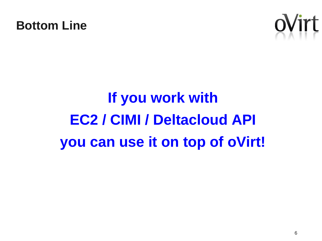



# **If you work with EC2 / CIMI / Deltacloud API you can use it on top of oVirt!**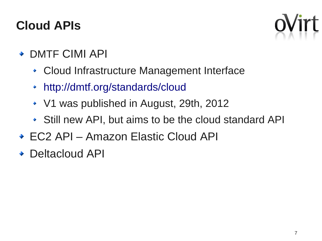#### **Cloud APIs**



- ◆ DMTF CIMI API
	- Cloud Infrastructure Management Interface
	- <http://dmtf.org/standards/cloud>  $\blacklozenge$
	- ◆ V1 was published in August, 29th, 2012
	- Still new API, but aims to be the cloud standard API
- ◆ EC2 API Amazon Elastic Cloud API
- ◆ Deltacloud API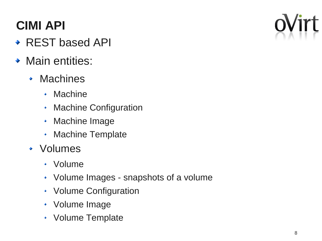## **CIMI API**

- ◆ REST based API
- Main entities:
	- Machines
		- Machine
		- Machine Configuration  $\blacklozenge$
		- Machine Image  $\blacklozenge$
		- Machine Template  $\blacklozenge$
	- Volumes
		- Volume
		- Volume Images snapshots of a volume
		- Volume Configuration
		- Volume Image
		- Volume Template

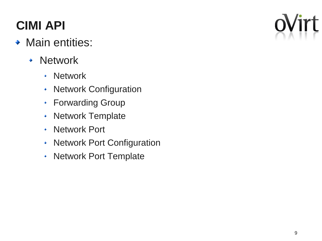## **CIMI API**

- Main entities:
	- Network
		- **Network**  $\blacklozenge$
		- Network Configuration  $\blacklozenge$
		- Forwarding Group  $\blacklozenge$
		- Network Template  $\blacklozenge$
		- Network Port  $\blacklozenge$
		- Network Port Configuration  $\blacklozenge$
		- Network Port Template $\ddot{\bullet}$

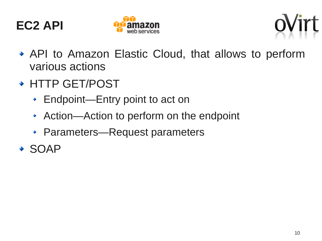





- API to Amazon Elastic Cloud, that allows to perform various actions
- ◆ HTTP GET/POST
	- Endpoint—Entry point to act on
	- Action—Action to perform on the endpoint  $\blacklozenge$
	- Parameters—Request parameters
- SOAP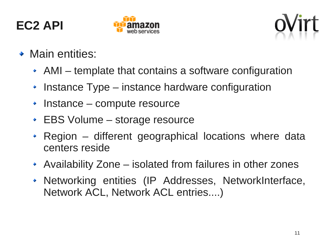





- $\bullet$  Main entities:
	- AMI template that contains a software configuration
	- Instance Type instance hardware configuration ٠
	- Instance compute resource  $\ddot{\bullet}$
	- EBS Volume storage resource
	- Region different geographical locations where data  $\ddot{\bullet}$ centers reside
	- Availability Zone isolated from failures in other zones
	- Networking entities (IP Addresses, NetworkInterface,  $\blacklozenge$ Network ACL, Network ACL entries....)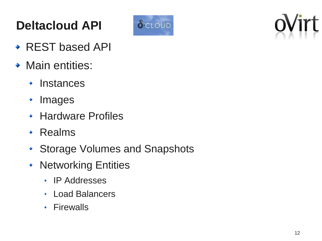## **Deltacloud API**



- ◆ REST based API
- Main entities:
	- $\cdot$  Instances
	- Images ٠
	- Hardware Profiles
	- Realms
	- ◆ Storage Volumes and Snapshots
	- Networking Entities
		- IP Addresses
		- Load Balancers
		- Firewalls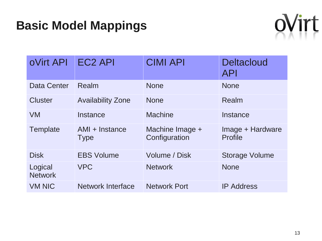#### **Basic Model Mappings**



| <b>oVirt API</b>          | <b>EC2 API</b>                | <b>CIMI API</b>                  | <b>Deltacloud</b><br><b>API</b>    |
|---------------------------|-------------------------------|----------------------------------|------------------------------------|
| <b>Data Center</b>        | Realm                         | <b>None</b>                      | <b>None</b>                        |
| <b>Cluster</b>            | <b>Availability Zone</b>      | <b>None</b>                      | Realm                              |
| <b>VM</b>                 | Instance                      | <b>Machine</b>                   | Instance                           |
| Template                  | AMI + Instance<br><b>Type</b> | Machine Image +<br>Configuration | Image + Hardware<br><b>Profile</b> |
| <b>Disk</b>               | <b>EBS Volume</b>             | <b>Volume / Disk</b>             | <b>Storage Volume</b>              |
| Logical<br><b>Network</b> | <b>VPC</b>                    | <b>Network</b>                   | <b>None</b>                        |
| <b>VM NIC</b>             | <b>Network Interface</b>      | <b>Network Port</b>              | <b>IP Address</b>                  |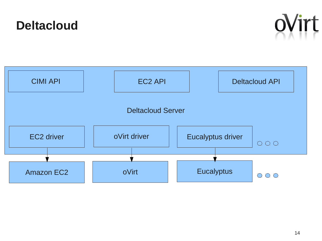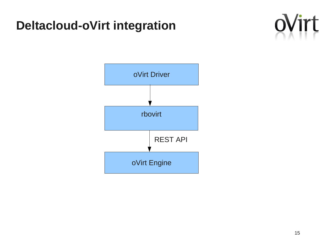#### **Deltacloud-oVirt integration**



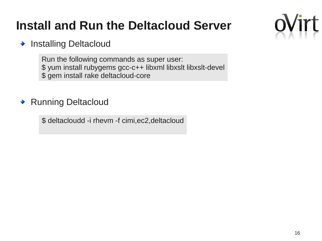#### **Install and Run the Deltacloud Server**

#### Installing Deltacloud  $\ddot{\bullet}$

Run the following commands as super user: \$ yum install rubygems gcc-c++ libxml libxslt libxslt-devel \$ gem install rake deltacloud-core

#### Running Deltacloud  $\ddot{\bullet}$

\$ deltacloudd -i rhevm -f cimi,ec2,deltacloud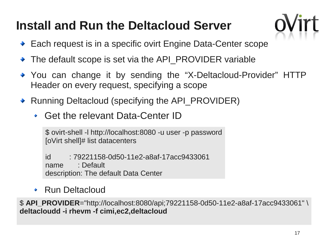#### **Install and Run the Deltacloud Server**

- ◆ Each request is in a specific ovirt Engine Data-Center scope
- The default scope is set via the API\_PROVIDER variable
- You can change it by sending the "X-Deltacloud-Provider" HTTP Header on every request, specifying a scope
- ◆ Running Deltacloud (specifying the API\_PROVIDER)
	- Get the relevant Data-Center ID

\$ ovirt-shell -l http://localhost:8080 -u user -p password [oVirt shell]# list datacenters

id : 79221158-0d50-11e2-a8af-17acc9433061 name : Default description: The default Data Center

Run Deltacloud

\$ **API\_PROVIDER**="http://localhost:8080/api;79221158-0d50-11e2-a8af-17acc9433061" \ **deltacloudd -i rhevm -f cimi,ec2,deltacloud**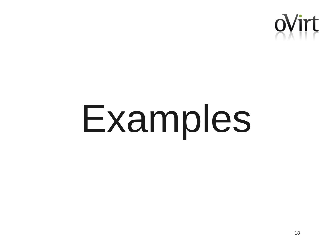

# Examples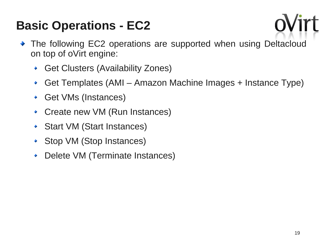

- The following EC2 operations are supported when using Deltacloud on top of oVirt engine:
	- Get Clusters (Availability Zones)
	- Get Templates (AMI Amazon Machine Images + Instance Type) ٠
	- Get VMs (Instances)
	- Create new VM (Run Instances)
	- Start VM (Start Instances)
	- Stop VM (Stop Instances)
	- Delete VM (Terminate Instances)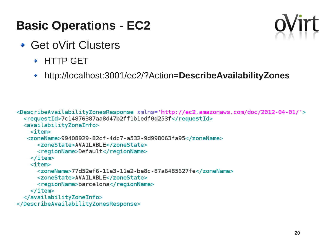- ◆ Get oVirt Clusters
	- HTTP GET
	- http://localhost:3001/ec2/?Action=**DescribeAvailabilityZones**

```
<DescribeAvailabilityZonesResponse xmlns='http://ec2.amazonaws.com/doc/2012-04-01/'>
  <requestId>7c14876387aa8d47b2ff1b1edf0d253f</requestId>
  <availabilityZoneInfo>

   <zoneName>99408929-82cf-4dc7-a532-9d998063fa95</zoneName>
      <zoneState>AVAILABLE</zoneState>
      <regionName>Default</regionName>
    \langleitem\rangle<item><zoneName>77d52ef6-11e3-11e2-be8c-87a6485627fe</zoneName>
      <zoneState>AVAILABLE</zoneState>
      <regionName>barcelona</regionName>
    \langleitem\rangle</availabilityZoneInfo>
</DescribeAvailabilityZonesResponse>
```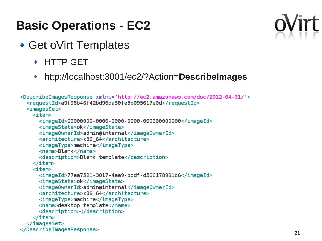- ◆ Get oVirt Templates
	- HTTP GET
	- http://localhost:3001/ec2/?Action=**DescribeImages**

```
<DescribeImagesResponse xmlns='http://ec2.amazonaws.com/doc/2012-04-01/'>
 <requestId>a9f98b46f42bd96da30fe5b095617e0d</requestId>
 <imagesSet>
   \langleitem\rangle<imageState>ok</imageState>
     <imageOwnerId>admin@internal</imageOwnerId>
     <architecture>x86_64</architecture>
     <imageType>machine</imageType>
     <name>Blank</name>
     <description>Blank template</description>
   \langleitem>
   <item><imageId>77ea7521-3017-4ee9-bcdf-d566178991c6</imageId>
     <imageState>ok</imageState>
     <image0wnerId>admin@internal</image0wnerId>
     <architecture>x86_64</architecture>
     <imageType>machine</imageType>
     <name>desktop template</name>
     <description></description>
   \frac{1}{1}tem>
 </imagesSet>
</DescribeImagesResponse>
```
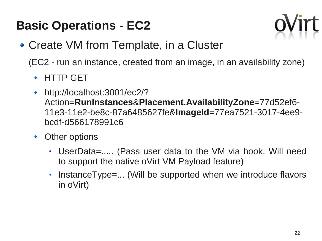

- ◆ Create VM from Template, in a Cluster
	- (EC2 run an instance, created from an image, in an availability zone)
		- HTTP GET
		- http://localhost:3001/ec2/?  $\ddot{\bullet}$ Action=**RunInstances**&**Placement.AvailabilityZone**=77d52ef6- 11e3-11e2-be8c-87a6485627fe&**ImageId**=77ea7521-3017-4ee9 bcdf-d566178991c6
		- Other options  $\ddot{\bullet}$ 
			- UserData=..... (Pass user data to the VM via hook. Will need to support the native oVirt VM Payload feature)
			- $\cdot$  InstanceType=... (Will be supported when we introduce flavors in oVirt)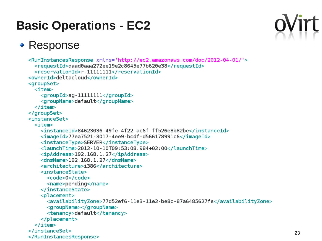#### ◆ Response

```
<RunInstancesResponse xmlns='http://ec2.amazonaws.com/doc/2012-04-01/'>
  <requestId>daad0aaa272ee19e2c8645e77b620e38</requestId>
  <reservationId>r-11111111</reservationId>
<ownerId>deltacloud</ownerId>
<groupSet>
  <item><groupId>sg-11111111</groupId>
    <groupName>default</groupName>
  \langleitem\rangle</groupSet>
<instanceSet>
  <item><instanceId>84623036-49fe-4f22-ac6f-ff526e8b82be</instanceId>
    <imageId>77ea7521-3017-4ee9-bcdf-d566178991c6</imageId>
    <instanceType>SERVER</instanceType>
    <launchTime>2012-10-10T09:53:08.984+02:00</launchTime>
    <ipAddress>192.168.1.27</ipAddress>
    <dnsName>192.168.1.27</dnsName>
    <architecture>i386</architecture>
    <instanceState>
      <code>0</code>
      <name>pending</name>
    </instanceState>
    <placement>
      <availabilityZone>77d52ef6-11e3-11e2-be8c-87a6485627fe</availabilityZone>
      <groupName></groupName>
      <tenancy>default</tenancy>
    </placement>
  \frac{1}{1}tem>
</instanceSet>
</RunInstancesResponse>
```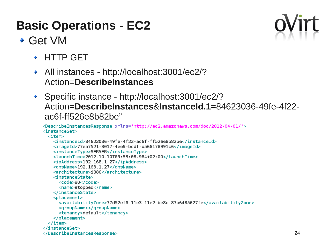#### Get VM



- HTTP GET
- All instances http://localhost:3001/ec2/? Action=**DescribeInstances**
- Specific instance http://localhost:3001/ec2/? Action=**DescribeInstances**&**InstanceId.1**=84623036-49fe-4f22 ac6f-ff526e8b82be"

```
<DescribeInstancesResponse xmlns='http://ec2.amazonaws.com/doc/2012-04-01/'>
<instanceSet>
  <item><instanceId>84623036-49fe-4f22-ac6f-ff526e8b82be</instanceId>
    <imageId>77ea7521-3017-4ee9-bcdf-d566178991c6</imageId>
    <instanceType>SERVER</instanceType>
    <launchTime>2012-10-10T09:53:08.984+02:00</launchTime>
    <ipAddress>192.168.1.27</ipAddress>
    <dnsName>192.168.1.27</dnsName>
    <architecture>i386</architecture>
    <instanceState>
      <code>80</code>
      <name>stopped</name>
    </instanceState>
    <placement>
      <availabilityZone>77d52ef6-11e3-11e2-be8c-87a6485627fe</availabilityZone>
      <groupName></groupName>
      <tenancy>default</tenancy>
    </placement>
  \langleitem\rangle</instanceSet>
</DescribeInstancesResponse>
```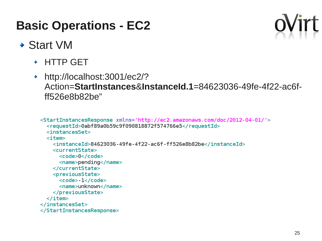

- Start VM
	- HTTP GET
	- http://localhost:3001/ec2/?  $\ddot{\bullet}$ Action=**StartInstances**&**InstanceId.1**=84623036-49fe-4f22-ac6fff526e8b82be"

```
<StartInstancesResponse xmlns='http://ec2.amazonaws.com/doc/2012-04-01/'>
  <requestId>0abf89a0b59c9f090818872f574766e5</requestId>
  <instancesSet>

    <instanceId>84623036-49fe-4f22-ac6f-ff526e8b82be</instanceId>
    <currentState>
      <code>0</code>
      <name>pending</name>
    </currentState>
    <previousState>
      <code>-1</code>
      <name>unknown</name>
    </previousState>
  \langleitem>
</instancesSet>
</StartInstancesResponse>
```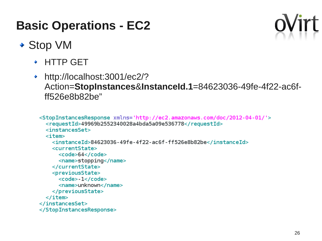

- ◆ Stop VM
	- HTTP GET
	- http://localhost:3001/ec2/?  $\ddot{\bullet}$ Action=**StopInstances**&**InstanceId.1**=84623036-49fe-4f22-ac6fff526e8b82be"

```
<StopInstancesResponse xmlns='http://ec2.amazonaws.com/doc/2012-04-01/'>
  <requestId>49969b2552340028a4bda5a09e536778</requestId>
  <instancesSet>
  <item><instanceId>84623036-49fe-4f22-ac6f-ff526e8b82be</instanceId>
    <currentState>
      <code>64</code>
      <name>stopping</name>
    </currentState>
    <previousState>
      <code>-1</code>
      <name>unknown</name>
    </previousState>
  \frac{1}{1}tem>
</instancesSet>
</StopInstancesResponse>
```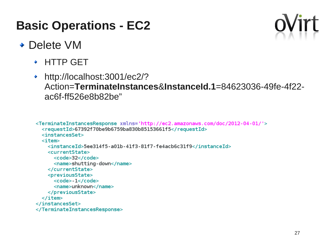

#### ◆ Delete VM

- HTTP GET
- http://localhost:3001/ec2/?  $\ddot{\bullet}$ Action=**TerminateInstances**&**InstanceId.1**=84623036-49fe-4f22 ac6f-ff526e8b82be"

```
<TerminateInstancesResponse xmlns='http://ec2.amazonaws.com/doc/2012-04-01/'>
  <requestId>67392f70be9b6759ba830b85153661f5</requestId>
  <instancesSet>
  <item><instanceId>5ee314f5-a01b-41f3-81f7-fe4acb6c31f9</instanceId>
    <currentState>
      <code>32</code>
      <name>shutting-down</name>
    </currentState>
    <previousState>
      <code>-1</code>
      <name>unknown</name>
    </previousState>
  \langleitem\rangle</instancesSet>
</TerminateInstancesResponse>
```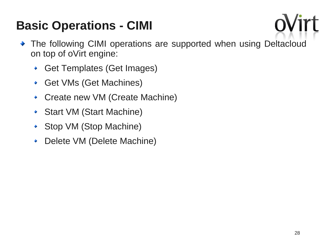

- The following CIMI operations are supported when using Deltacloud on top of oVirt engine:
	- Get Templates (Get Images)
	- Get VMs (Get Machines)  $\ddot{\bullet}$
	- Create new VM (Create Machine)
	- Start VM (Start Machine) ٠
	- Stop VM (Stop Machine)
	- Delete VM (Delete Machine)٠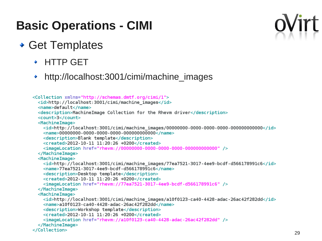#### Get Templates

- HTTP GET
- http://localhost:3001/cimi/machine\_images

```
<Collection xmlns="http://schemas.dmtf.org/cimi/1">
 <id>http://localhost:3001/cimi/machine images</id>
 <name>default</name>
 <description>MachineImage Collection for the Rhevm driver</description>
 <count>3</count>
 <MachineImage>
   <id>http://localhost:3001/cimi/machine_images/00000000-0000-0000-0000-000000000000</id>
   \lename>00000000-0000-0000-0000-000000000000</name>
   <description>Blank template</description>
   <created>2012-10-11 11:20:26 +0200</created>
   </MachineImage>
 <MachineImage>
   <id>http://localhost:3001/cimi/machine images/77ea7521-3017-4ee9-bcdf-d566178991c6</id>
   <name>77ea7521-3017-4ee9-bcdf-d566178991c6</name>
   <description>Desktop template</description>
   <created>2012-10-11 11:20:26 +0200</created>
   <imageLocation href="rhevm://77ea7521-3017-4ee9-bcdf-d566178991c6" />
 </MachineImage>
 <MachineImage>
   <id>http://localhost:3001/cimi/machine images/a10f0123-ca40-4428-adac-26ac42f282dd</id>
   <name>a10f0123-ca40-4428-adac-26ac42f282dd</name>
   <description>Workshop template</description>
   <created>2012-10-11 11:20:26 +0200</created>
   <imageLocation href="rhevm://a10f0123-ca40-4428-adac-26ac42f282dd" />
 </MachineImage>
</Collection>
```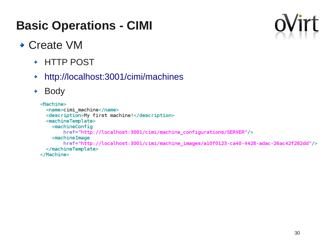

#### ◆ Create VM

- HTTP POST
- <http://localhost:3001/cimi/machines> ٠
- Body٠

#### <Machine>

```
<name>cimi machine</name>
  <description>My first machine!</description>
  <machineTemplate>
    <sub>machineConfig</sub></sub>
        href="http://localhost:3001/cimi/machine_configurations/SERVER"/>
    <machineImage
        href="http://localhost:3001/cimi/machine_images/a10f0123-ca40-4428-adac-26ac42f282dd"/>
  </machineTemplate>
</Machine>
```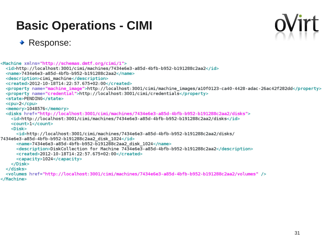

#### ◆ Response:

```
<Machine xmlns="http://schemas.dmtf.org/cimi/1">
 <id>http://localhost:3001/cimi/machines/7434e6e3-a85d-4bfb-b952-b191288c2aa2</id>
 <name>7434e6e3-a85d-4bfb-b952-b191288c2aa2</name>
 <description>cimi machine</description>
 <created>2012-10-18T14:22:57.675+02:00</created>
 <property name="machine image">http://localhost:3001/cimi/machine images/a10f0123-ca40-4428-adac-26ac42f282dd</property>
 <property name="credential">http://localhost:3001/cimi/credentials</property>
 <state>PENDING</state>
 <cpu>2</cpu>
 <memory>1048576</memory>
 <disks href="http://localhost:3001/cimi/machines/7434e6e3-a85d-4bfb-b952-b191288c2aa2/disks">
   <id>http://localhost:3001/cimi/machines/7434e6e3-a85d-4bfb-b952-b191288c2aa2/disks</id>
   <count>1</count>
    <Disk><id>http://localhost:3001/cimi/machines/7434e6e3-a85d-4bfb-b952-b191288c2aa2/disks/
7434e6e3-a85d-4bfb-b952-b191288c2aa2 disk 1024</id>
      <name>7434e6e3-a85d-4bfb-b952-b191288c2aa2 disk 1024</name>
      <description>DiskCollection for Machine 7434e6e3-a85d-4bfb-b952-b191288c2aa2</description>
      <created>2012-10-18T14:22:57.675+02:00</created>
     <capacity>1024</capacity>
   </Disk></disks>
 <volumes href="http://localhost:3001/cimi/machines/7434e6e3-a85d-4bfb-b952-b191288c2aa2/volumes"/>
</Machine>
```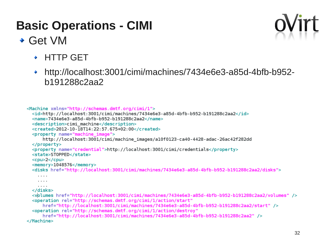#### Get VM



- HTTP GET
- http://localhost:3001/cimi/machines/7434e6e3-a85d-4bfb-b952 b191288c2aa2

```
<Machine xmlns="http://schemas.dmtf.org/cimi/1">
  <id>http://localhost:3001/cimi/machines/7434e6e3-a85d-4bfb-b952-b191288c2aa2</id>
  <name>7434e6e3-a85d-4bfb-b952-b191288c2aa2</name>
  <description>cimi machine</description>
  <created>2012-10-18T14:22:57.675+02:00</created>
  <property name="machine image">
      http://localhost:3001/cimi/machine_images/a10f0123-ca40-4428-adac-26ac42f282dd
  </property>
  <property name="credential">http://localhost:3001/cimi/credentials</property>
  <state>STOPPED</state>
  <cpu>2</cpu>
  \epsilonmemory>1048576</memory>
  <disks href="http://localhost:3001/cimi/machines/7434e6e3-a85d-4bfb-b952-b191288c2aa2/disks">
    \cdots\cdots\alpha , \alpha , \alpha</disks>
  <volumes href="http://localhost:3001/cimi/machines/7434e6e3-a85d-4bfb-b952-b191288c2aa2/volumes" />
  <operation rel="http://schemas.dmtf.org/cimi/1/action/start"
     href="http://localhost:3001/cimi/machines/7434e6e3-a85d-4bfb-b952-b191288c2aa2/start"/>
  <operation rel="http://schemas.dmtf.org/cimi/1/action/destroy"
      href="http://localhost:3001/cimi/machines/7434e6e3-a85d-4bfb-b952-b191288c2aa2"/>
</Machine>
```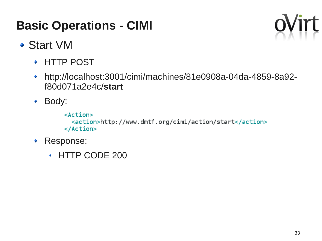

- Start VM
	- HTTP POST
	- http://localhost:3001/cimi/machines/81e0908a-04da-4859-8a92-  $\blacklozenge$ f80d071a2e4c/**start**
	- Body:

 $<$ Action $>$ <action>http://www.dmtf.org/cimi/action/start</action>  $<$ /Action>

- Response: ٠
	- HTTP CODE 200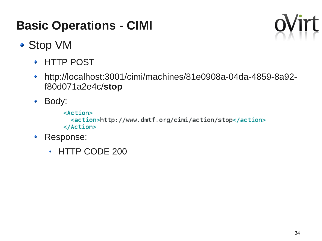

- ◆ Stop VM
	- HTTP POST
	- http://localhost:3001/cimi/machines/81e0908a-04da-4859-8a92-  $\blacklozenge$ f80d071a2e4c/**stop**
	- Body:

 $<$ Action $>$ <action>http://www.dmtf.org/cimi/action/stop</action>  $<$ /Action>

- Response: ٠
	- HTTP CODE 200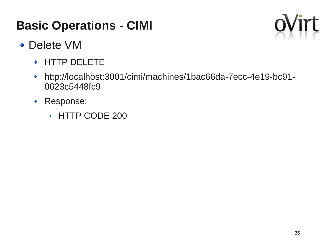

- ◆ Delete VM
	- ◆ HTTP DELETE
	- http://localhost:3001/cimi/machines/1bac66da-7ecc-4e19-bc91-  $\blacklozenge$ 0623c5448fc9
	- Response:
		- HTTP CODE 200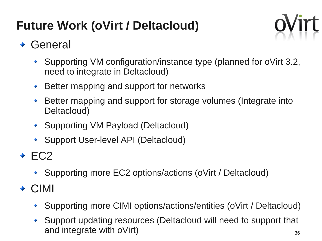## **Future Work (oVirt / Deltacloud)**



#### General

- Supporting VM configuration/instance type (planned for oVirt 3.2, need to integrate in Deltacloud)
- Better mapping and support for networks ۰
- Better mapping and support for storage volumes (Integrate into Deltacloud)
- ◆ Supporting VM Payload (Deltacloud)
- ◆ Support User-level API (Deltacloud)
- $\div$  EC2
	- Supporting more EC2 options/actions (oVirt / Deltacloud)
- ◆ CIMI
	- Supporting more CIMI options/actions/entities (oVirt / Deltacloud)
	- 36 Support updating resources (Deltacloud will need to support that and integrate with oVirt)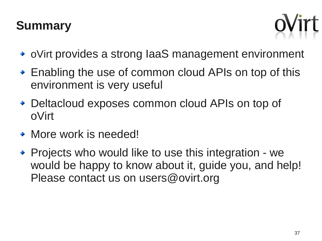#### **Summary**



- ◆ oVirt provides a strong laaS management environment
- ◆ Enabling the use of common cloud APIs on top of this environment is very useful
- ◆ Deltacloud exposes common cloud APIs on top of oVirt
- More work is needed!
- Projects who would like to use this integration we would be happy to know about it, guide you, and help! Please contact us on users@ovirt.org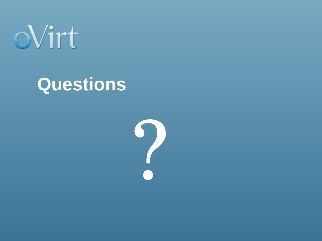

# **Questions**

?